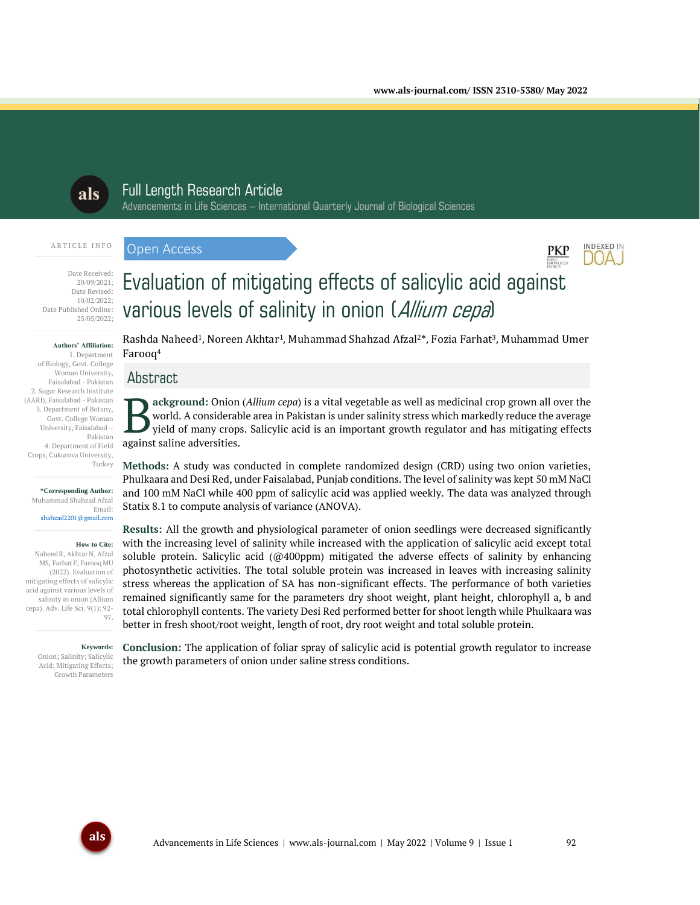

# Full Length Research Article Advancements in Life Sciences – International Quarterly Journal of Biological Sciences

#### ARTICLE INFO

Open Access



#### Date Received: 20/09/2021; Date Revised: 10/02/2022; Date Published Online: 25/05/2022;

#### **Authors' Affiliation:**

1. Department of Biology, Govt. College Woman University, Faisalabad - Pakistan 2. Sugar Research Institute (AARI), Faisalabad - Pakistan 3. Department of Botany, Govt. College Woman University, Faisalabad – Pakistan 4. Department of Field Crops, Cukurova University, Turkey

> **\*Corresponding Author:** Muhammad Shahzad Afzal Email: shahzad2201@gmail.com

#### **How to Cite:**

Naheed R, Akhtar N, Afzal MS, Farhat F, Farooq MU (2022). Evaluation of mitigating effects of salicylic acid against various levels of salinity in onion (Allium cepa). Adv. Life Sci. 9(1): 92- 97.

#### **Keywords:**

Onion; Salinity; Salicylic Acid; Mitigating Effects; Growth Parameters

Rashda Naheed<sup>1</sup>, Noreen Akhtar<sup>1</sup>, Muhammad Shahzad Afzal<sup>2\*</sup>, Fozia Farhat<sup>3</sup>, Muhammad Umer Farooq<sup>4</sup>

Evaluation of mitigating effects of salicylic acid against

various levels of salinity in onion (Allium cepa)

# Abstract

**ackground:** Onion (*Allium cepa*) is a vital vegetable as well as medicinal crop grown all over the world. A considerable area in Pakistan is under salinity stress which markedly reduce the average yield of many crops. Salicylic acid is an important growth regulator and has mitigating effects **B** ackground: Onion<br>
yield of many crops<br>
against saline adversities.

**Methods:** A study was conducted in complete randomized design (CRD) using two onion varieties, Phulkaara and Desi Red, under Faisalabad, Punjab conditions. The level of salinity was kept 50 mM NaCl and 100 mM NaCl while 400 ppm of salicylic acid was applied weekly. The data was analyzed through Statix 8.1 to compute analysis of variance (ANOVA).

**Results:** All the growth and physiological parameter of onion seedlings were decreased significantly with the increasing level of salinity while increased with the application of salicylic acid except total soluble protein. Salicylic acid (@400ppm) mitigated the adverse effects of salinity by enhancing photosynthetic activities. The total soluble protein was increased in leaves with increasing salinity stress whereas the application of SA has non-significant effects. The performance of both varieties remained significantly same for the parameters dry shoot weight, plant height, chlorophyll a, b and total chlorophyll contents. The variety Desi Red performed better for shoot length while Phulkaara was better in fresh shoot/root weight, length of root, dry root weight and total soluble protein.

**Conclusion:** The application of foliar spray of salicylic acid is potential growth regulator to increase the growth parameters of onion under saline stress conditions.

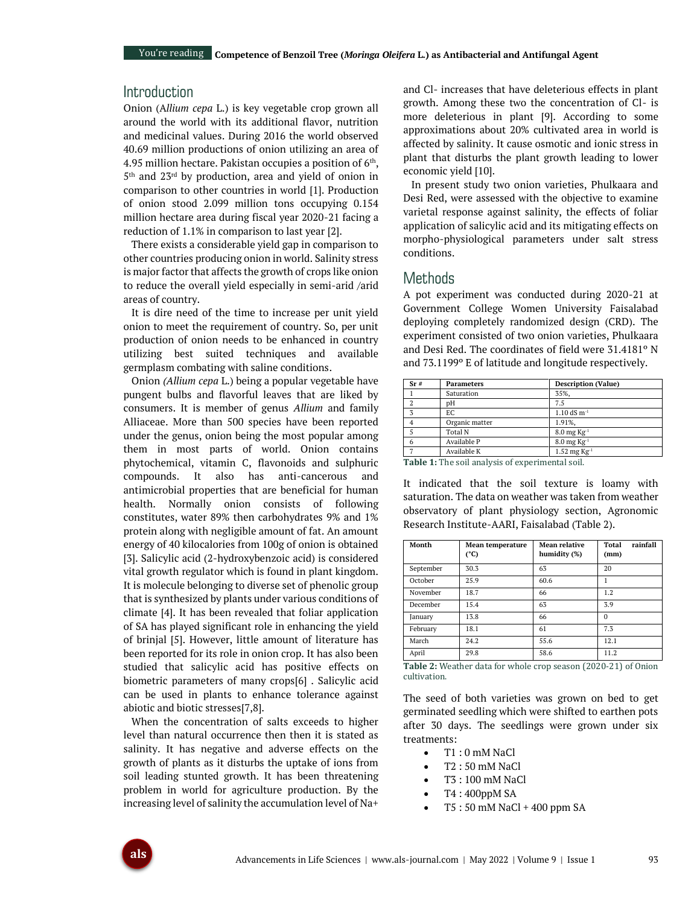# Introduction

Onion (A*llium cepa* L.) is key vegetable crop grown all around the world with its additional flavor, nutrition and medicinal values. During 2016 the world observed 40.69 million productions of onion utilizing an area of 4.95 million hectare. Pakistan occupies a position of  $6<sup>th</sup>$ , 5 th and 23rd by production, area and yield of onion in comparison to other countries in world [1]. Production of onion stood 2.099 million tons occupying 0.154 million hectare area during fiscal year 2020-21 facing a reduction of 1.1% in comparison to last year [2].

There exists a considerable yield gap in comparison to other countries producing onion in world. Salinity stress is major factor that affects the growth of crops like onion to reduce the overall yield especially in semi-arid /arid areas of country.

It is dire need of the time to increase per unit yield onion to meet the requirement of country. So, per unit production of onion needs to be enhanced in country utilizing best suited techniques and available germplasm combating with saline conditions.

Onion *(Allium cepa* L.) being a popular vegetable have pungent bulbs and flavorful leaves that are liked by consumers. It is member of genus *Allium* and family Alliaceae. More than 500 species have been reported under the genus, onion being the most popular among them in most parts of world. Onion contains phytochemical, vitamin C, flavonoids and sulphuric compounds. It also has anti-cancerous and antimicrobial properties that are beneficial for human health. Normally onion consists of following constitutes, water 89% then carbohydrates 9% and 1% protein along with negligible amount of fat. An amount energy of 40 kilocalories from 100g of onion is obtained [3]. Salicylic acid (2-hydroxybenzoic acid) is considered vital growth regulator which is found in plant kingdom. It is molecule belonging to diverse set of phenolic group that is synthesized by plants under various conditions of climate [4]. It has been revealed that foliar application of SA has played significant role in enhancing the yield of brinjal [5]. However, little amount of literature has been reported for its role in onion crop. It has also been studied that salicylic acid has positive effects on biometric parameters of many crops[6] . Salicylic acid can be used in plants to enhance tolerance against abiotic and biotic stresses[7,8].

When the concentration of salts exceeds to higher level than natural occurrence then then it is stated as salinity. It has negative and adverse effects on the growth of plants as it disturbs the uptake of ions from soil leading stunted growth. It has been threatening problem in world for agriculture production. By the increasing level of salinity the accumulation level of Na+

and Cl- increases that have deleterious effects in plant growth. Among these two the concentration of Cl- is more deleterious in plant [9]. According to some approximations about 20% cultivated area in world is affected by salinity. It cause osmotic and ionic stress in plant that disturbs the plant growth leading to lower economic yield [10].

In present study two onion varieties, Phulkaara and Desi Red, were assessed with the objective to examine varietal response against salinity, the effects of foliar application of salicylic acid and its mitigating effects on morpho-physiological parameters under salt stress conditions.

## Methods

A pot experiment was conducted during 2020-21 at Government College Women University Faisalabad deploying completely randomized design (CRD). The experiment consisted of two onion varieties, Phulkaara and Desi Red. The coordinates of field were 31.4181º N and 73.1199º E of latitude and longitude respectively.

| <b>Parameters</b> | <b>Description (Value)</b>              |
|-------------------|-----------------------------------------|
| Saturation        | 35%,                                    |
| pH                | 7.5                                     |
| EC                | $1.10$ dS m <sup>-1</sup>               |
| Organic matter    | 1.91%,                                  |
| Total N           | $8.0 \,\mathrm{mg} \,\mathrm{Kg}^{-1}$  |
| Available P       | $8.0 \,\mathrm{mg} \,\mathrm{Kg}^{-1}$  |
| Available K       | $1.52 \,\mathrm{mg} \,\mathrm{Kg}^{-1}$ |
|                   |                                         |

**Table 1:** The soil analysis of experimental soil.

It indicated that the soil texture is loamy with saturation. The data on weather was taken from weather observatory of plant physiology section, Agronomic Research Institute-AARI, Faisalabad (Table 2).

| Month     | Mean temperature<br>$(^{\circ}C)$ | Mean relative<br>humidity (%) | rainfall<br>Total<br>(mm) |  |  |  |
|-----------|-----------------------------------|-------------------------------|---------------------------|--|--|--|
| September | 30.3                              | 63                            | 20                        |  |  |  |
| October   | 25.9                              | 60.6                          |                           |  |  |  |
| November  | 18.7                              | 66                            | 1.2                       |  |  |  |
| December  | 15.4                              | 63                            | 3.9                       |  |  |  |
| January   | 13.8                              | 66                            | $\Omega$                  |  |  |  |
| February  | 18.1                              | 61                            | 7.3                       |  |  |  |
| March     | 24.2                              | 55.6                          | 12.1                      |  |  |  |
| April     | 29.8                              | 58.6                          | 11.2                      |  |  |  |

**Table 2:** Weather data for whole crop season (2020-21) of Onion cultivation.

The seed of both varieties was grown on bed to get germinated seedling which were shifted to earthen pots after 30 days. The seedlings were grown under six treatments:

- T1 : 0 mM NaCl
- T2 : 50 mM NaCl
- T3 : 100 mM NaCl
- T4 : 400ppM SA
- $T5: 50$  mM NaCl + 400 ppm SA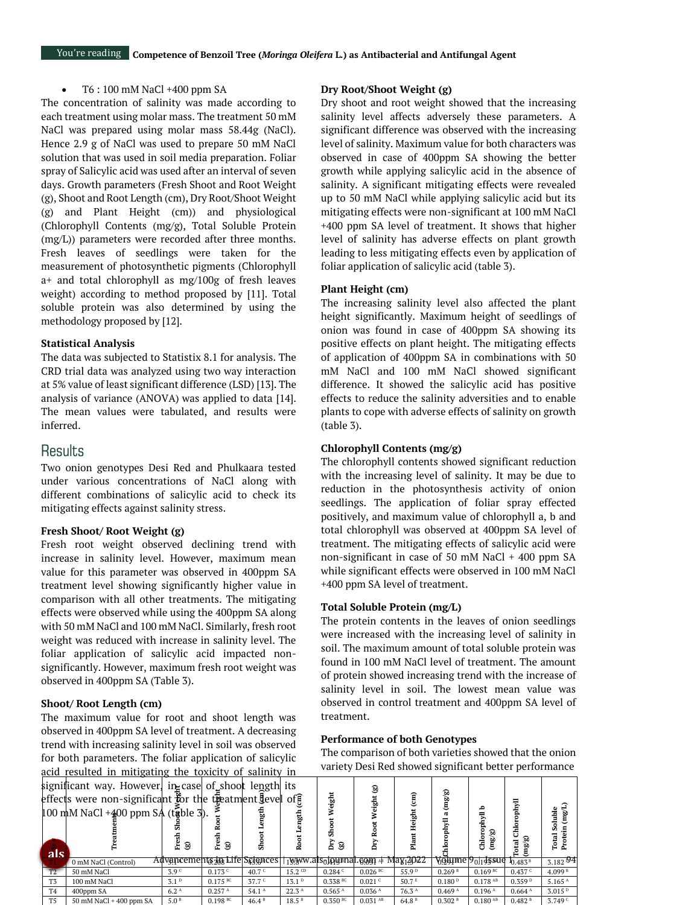#### • T6 : 100 mM NaCl +400 ppm SA

The concentration of salinity was made according to each treatment using molar mass. The treatment 50 mM NaCl was prepared using molar mass 58.44g (NaCl). Hence 2.9 g of NaCl was used to prepare 50 mM NaCl solution that was used in soil media preparation. Foliar spray of Salicylic acid was used after an interval of seven days. Growth parameters (Fresh Shoot and Root Weight (g), Shoot and Root Length (cm), Dry Root/Shoot Weight (g) and Plant Height (cm)) and physiological (Chlorophyll Contents (mg/g), Total Soluble Protein (mg/L)) parameters were recorded after three months. Fresh leaves of seedlings were taken for the measurement of photosynthetic pigments (Chlorophyll a+ and total chlorophyll as mg/100g of fresh leaves weight) according to method proposed by [11]. Total soluble protein was also determined by using the methodology proposed by [12].

#### **Statistical Analysis**

The data was subjected to Statistix 8.1 for analysis. The CRD trial data was analyzed using two way interaction at 5% value of least significant difference (LSD) [13]. The analysis of variance (ANOVA) was applied to data [14]. The mean values were tabulated, and results were inferred.

### **Results**

Two onion genotypes Desi Red and Phulkaara tested under various concentrations of NaCl along with different combinations of salicylic acid to check its mitigating effects against salinity stress.

### **Fresh Shoot/ Root Weight (g)**

Fresh root weight observed declining trend with increase in salinity level. However, maximum mean value for this parameter was observed in 400ppm SA treatment level showing significantly higher value in comparison with all other treatments. The mitigating effects were observed while using the 400ppm SA along with 50 mM NaCl and 100 mM NaCl. Similarly, fresh root weight was reduced with increase in salinity level. The foliar application of salicylic acid impacted nonsignificantly. However, maximum fresh root weight was observed in 400ppm SA (Table 3).

### **Shoot/ Root Length (cm)**

The maximum value for root and shoot length was observed in 400ppm SA level of treatment. A decreasing trend with increasing salinity level in soil was observed for both parameters. The foliar application of salicylic acid resulted in mitigating the toxicity of salinity in significant way. However, in case of shoot length its

### **Dry Root/Shoot Weight (g)**

Dry shoot and root weight showed that the increasing salinity level affects adversely these parameters. A significant difference was observed with the increasing level of salinity. Maximum value for both characters was observed in case of 400ppm SA showing the better growth while applying salicylic acid in the absence of salinity. A significant mitigating effects were revealed up to 50 mM NaCl while applying salicylic acid but its mitigating effects were non-significant at 100 mM NaCl +400 ppm SA level of treatment. It shows that higher level of salinity has adverse effects on plant growth leading to less mitigating effects even by application of foliar application of salicylic acid (table 3).

### **Plant Height (cm)**

The increasing salinity level also affected the plant height significantly. Maximum height of seedlings of onion was found in case of 400ppm SA showing its positive effects on plant height. The mitigating effects of application of 400ppm SA in combinations with 50 mM NaCl and 100 mM NaCl showed significant difference. It showed the salicylic acid has positive effects to reduce the salinity adversities and to enable plants to cope with adverse effects of salinity on growth (table 3).

#### **Chlorophyll Contents (mg/g)**

The chlorophyll contents showed significant reduction with the increasing level of salinity. It may be due to reduction in the photosynthesis activity of onion seedlings. The application of foliar spray effected positively, and maximum value of chlorophyll a, b and total chlorophyll was observed at 400ppm SA level of treatment. The mitigating effects of salicylic acid were non-significant in case of 50 mM NaCl + 400 ppm SA while significant effects were observed in 100 mM NaCl +400 ppm SA level of treatment.

#### **Total Soluble Protein (mg/L)**

The protein contents in the leaves of onion seedlings were increased with the increasing level of salinity in soil. The maximum amount of total soluble protein was found in 100 mM NaCl level of treatment. The amount of protein showed increasing trend with the increase of salinity level in soil. The lowest mean value was observed in control treatment and 400ppm SA level of treatment.

### **Performance of both Genotypes**

The comparison of both varieties showed that the onion variety Desi Red showed significant better performance

|                | acid resulted in initigating the toxicity of samility in                                                                                                                     |                  |                               |                   |                   |                       |                                                                          |                   |                    |                              |                    |                    |
|----------------|------------------------------------------------------------------------------------------------------------------------------------------------------------------------------|------------------|-------------------------------|-------------------|-------------------|-----------------------|--------------------------------------------------------------------------|-------------------|--------------------|------------------------------|--------------------|--------------------|
|                | significant way. However, in case of shoot length its<br>effects were non-significant for the theatment level of f<br>$100 \text{ mM NaCl} + 400 \text{ ppm } SA$ (table 3). |                  |                               |                   |                   | ight                  | ම<br>igi<br>S                                                            | a)                | (mg/g)             |                              |                    |                    |
| <b>als</b>     |                                                                                                                                                                              | දි ම             | ම<br>£                        | ಜ                 |                   | ම<br>ă                |                                                                          | eight             |                    | 88)<br>음<br>연                |                    |                    |
|                | 0 mM NaCl (Control)                                                                                                                                                          |                  | Advancements an Life Sciences |                   |                   |                       | $_{1}$ www.als $_{0}$ j $_{0}$ yenal. $_{0}$ og $_{1}$ 4 May $_{1}$ 4JzZ |                   |                    | VQHme P <sub>0l1</sub> 45sue | 0.483B             | 3.182 $94$         |
| T2             | 50 mM NaCl                                                                                                                                                                   | 3.9 <sup>c</sup> | $0.173$ <sup>c</sup>          | 40.7 $C$          | $15.2 \text{ CD}$ | 0.284C                | $0.026$ BC                                                               | 55.9 <sup>D</sup> | 0.269 <sup>B</sup> | $0.169$ BC                   | 0.437c             | 4.099 <sup>B</sup> |
| T <sub>3</sub> | 100 mM NaCl                                                                                                                                                                  | 3.1 <sup>D</sup> | $0.175$ BC                    | 37.7c             | 13.1 <sup>D</sup> | $0.338$ <sup>BC</sup> | 0.021c                                                                   | 50.7 <sup>E</sup> | 0.180P             | $0.178$ <sup>AB</sup>        | 0.359P             | 5.165A             |
| T <sub>4</sub> | 400ppm SA                                                                                                                                                                    | 6.2 <sup>A</sup> | 0.257 <sup>A</sup>            | 54.1 <sup>A</sup> | 22.3 <sup>A</sup> | 0.565 <sup>A</sup>    | 0.036 <sup>A</sup>                                                       | 76.3 <sup>A</sup> | 0.469 <sup>A</sup> | 0.196 <sup>A</sup>           | 0.664 <sup>A</sup> | 3.015 <sup>D</sup> |
| T <sub>5</sub> | $50$ mM NaCl + $400$ ppm SA                                                                                                                                                  | 5.0 <sup>B</sup> | $0.198$ BC                    | 46.4B             | 18.5 <sup>B</sup> | $0.350$ <sup>BC</sup> | $0.031$ <sup>AB</sup>                                                    | 64.8 <sup>B</sup> | 0.302B             | $0.180$ AB                   | 0.482B             | 3.749c             |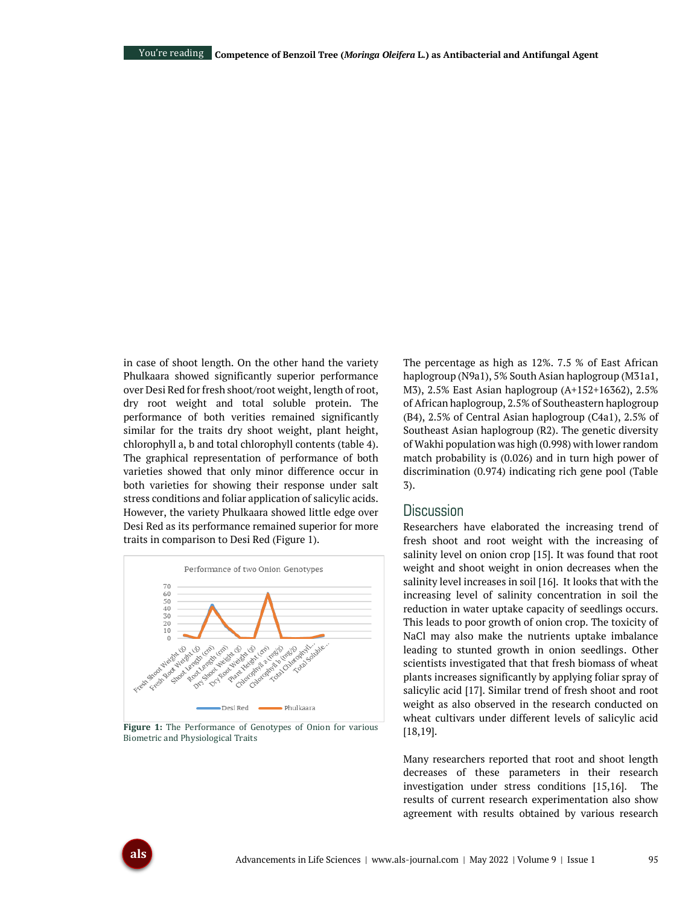in case of shoot length. On the other hand the variety Phulkaara showed significantly superior performance over Desi Red for fresh shoot/root weight, length of root, dry root weight and total soluble protein. The performance of both verities remained significantly similar for the traits dry shoot weight, plant height, chlorophyll a, b and total chlorophyll contents (table 4). The graphical representation of performance of both varieties showed that only minor difference occur in both varieties for showing their response under salt stress conditions and foliar application of salicylic acids. However, the variety Phulkaara showed little edge over Desi Red as its performance remained superior for more traits in comparison to Desi Red (Figure 1).



**Figure 1:** The Performance of Genotypes of Onion for various Biometric and Physiological Traits

The percentage as high as 12%. 7.5 % of East African haplogroup (N9a1), 5% South Asian haplogroup (M31a1, M3), 2.5% East Asian haplogroup (A+152+16362), 2.5% of African haplogroup, 2.5% of Southeastern haplogroup (B4), 2.5% of Central Asian haplogroup (C4a1), 2.5% of Southeast Asian haplogroup (R2). The genetic diversity of Wakhi population was high (0.998) with lower random match probability is (0.026) and in turn high power of discrimination (0.974) indicating rich gene pool (Table 3).

## **Discussion**

Researchers have elaborated the increasing trend of fresh shoot and root weight with the increasing of salinity level on onion crop [15]. It was found that root weight and shoot weight in onion decreases when the salinity level increases in soil [16]. It looks that with the increasing level of salinity concentration in soil the reduction in water uptake capacity of seedlings occurs. This leads to poor growth of onion crop. The toxicity of NaCl may also make the nutrients uptake imbalance leading to stunted growth in onion seedlings. Other scientists investigated that that fresh biomass of wheat plants increases significantly by applying foliar spray of salicylic acid [17]. Similar trend of fresh shoot and root weight as also observed in the research conducted on wheat cultivars under different levels of salicylic acid [18,19].

Many researchers reported that root and shoot length decreases of these parameters in their research investigation under stress conditions [15,16]. The results of current research experimentation also show agreement with results obtained by various research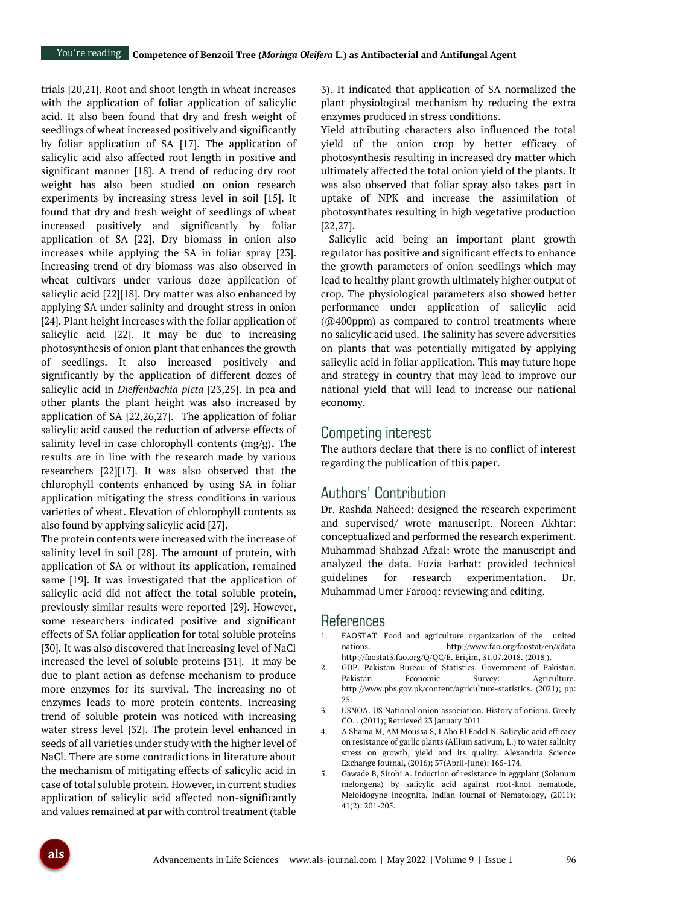trials [20,21]. Root and shoot length in wheat increases with the application of foliar application of salicylic acid. It also been found that dry and fresh weight of seedlings of wheat increased positively and significantly by foliar application of SA [17]. The application of salicylic acid also affected root length in positive and significant manner [18]. A trend of reducing dry root weight has also been studied on onion research experiments by increasing stress level in soil [15]. It found that dry and fresh weight of seedlings of wheat increased positively and significantly by foliar application of SA [22]. Dry biomass in onion also increases while applying the SA in foliar spray [23]. Increasing trend of dry biomass was also observed in wheat cultivars under various doze application of salicylic acid [22][18]. Dry matter was also enhanced by applying SA under salinity and drought stress in onion [24]. Plant height increases with the foliar application of salicylic acid [22]. It may be due to increasing photosynthesis of onion plant that enhances the growth of seedlings. It also increased positively and significantly by the application of different dozes of salicylic acid in *Dieffenbachia picta* [23,25]. In pea and other plants the plant height was also increased by application of SA [22,26,27]. The application of foliar salicylic acid caused the reduction of adverse effects of salinity level in case chlorophyll contents (mg/g)**.** The results are in line with the research made by various researchers [22][17]. It was also observed that the chlorophyll contents enhanced by using SA in foliar application mitigating the stress conditions in various varieties of wheat. Elevation of chlorophyll contents as also found by applying salicylic acid [27].

The protein contents were increased with the increase of salinity level in soil [28]. The amount of protein, with application of SA or without its application, remained same [19]. It was investigated that the application of salicylic acid did not affect the total soluble protein, previously similar results were reported [29]. However, some researchers indicated positive and significant effects of SA foliar application for total soluble proteins [30]. It was also discovered that increasing level of NaCl increased the level of soluble proteins [31]. It may be due to plant action as defense mechanism to produce more enzymes for its survival. The increasing no of enzymes leads to more protein contents. Increasing trend of soluble protein was noticed with increasing water stress level [32]. The protein level enhanced in seeds of all varieties under study with the higher level of NaCl. There are some contradictions in literature about the mechanism of mitigating effects of salicylic acid in case of total soluble protein. However, in current studies application of salicylic acid affected non-significantly and values remained at par with control treatment (table

3). It indicated that application of SA normalized the plant physiological mechanism by reducing the extra enzymes produced in stress conditions.

Yield attributing characters also influenced the total yield of the onion crop by better efficacy of photosynthesis resulting in increased dry matter which ultimately affected the total onion yield of the plants. It was also observed that foliar spray also takes part in uptake of NPK and increase the assimilation of photosynthates resulting in high vegetative production [22,27].

Salicylic acid being an important plant growth regulator has positive and significant effects to enhance the growth parameters of onion seedlings which may lead to healthy plant growth ultimately higher output of crop. The physiological parameters also showed better performance under application of salicylic acid (@400ppm) as compared to control treatments where no salicylic acid used. The salinity has severe adversities on plants that was potentially mitigated by applying salicylic acid in foliar application. This may future hope and strategy in country that may lead to improve our national yield that will lead to increase our national economy.

### Competing interest

The authors declare that there is no conflict of interest regarding the publication of this paper.

# Authors' Contribution

Dr. Rashda Naheed: designed the research experiment and supervised/ wrote manuscript. Noreen Akhtar: conceptualized and performed the research experiment. Muhammad Shahzad Afzal: wrote the manuscript and analyzed the data. Fozia Farhat: provided technical guidelines for research experimentation. Dr. Muhammad Umer Farooq: reviewing and editing.

### References

- 1. FAOSTAT. Food and agriculture organization of the united nations. http://www.fao.org/faostat/en/#data http://faostat3.fao.org/Q/QC/E. Erişim, 31.07.2018. (2018 ).
- 2. GDP. Pakistan Bureau of Statistics. Government of Pakistan. Pakistan Economic Survey: Agriculture. http://www.pbs.gov.pk/content/agriculture-statistics. (2021); pp: 25.
- 3. USNOA. US National onion association. History of onions. Greely CO. . (2011); Retrieved 23 January 2011.
- 4. A Shama M, AM Moussa S, I Abo El Fadel N. Salicylic acid efficacy on resistance of garlic plants (Allium sativum, L.) to water salinity stress on growth, yield and its quality. Alexandria Science Exchange Journal, (2016); 37(April-June): 165-174.
- 5. Gawade B, Sirohi A. Induction of resistance in eggplant (Solanum melongena) by salicylic acid against root-knot nematode, Meloidogyne incognita. Indian Journal of Nematology, (2011); 41(2): 201-205.